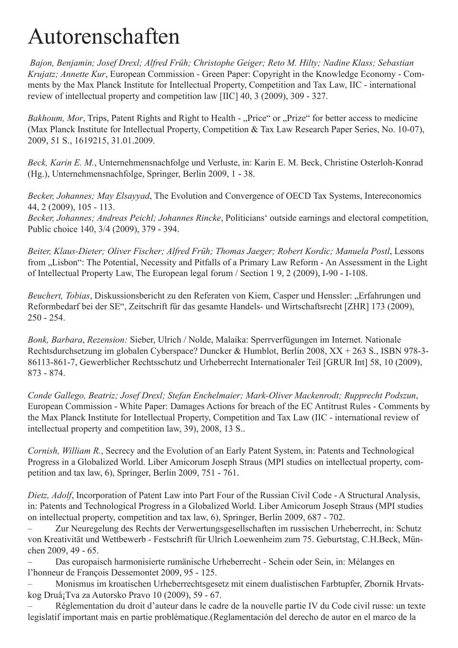## Autorenschaften

*Bajon, Benjamin; Josef Drexl; Alfred Früh; Christophe Geiger; Reto M. Hilty; Nadine Klass; Sebastian Krujatz; Annette Kur*, European Commission - Green Paper: Copyright in the Knowledge Economy - Comments by the Max Planck Institute for Intellectual Property, Competition and Tax Law, IIC - international review of intellectual property and competition law [IIC] 40, 3 (2009), 309 - 327.

*Bakhoum, Mor*, Trips, Patent Rights and Right to Health - "Price" or "Prize" for better access to medicine (Max Planck Institute for Intellectual Property, Competition & Tax Law Research Paper Series, No. 10-07), 2009, 51 S., 1619215, 31.01.2009.

*Beck, Karin E. M.*, Unternehmensnachfolge und Verluste, in: Karin E. M. Beck, Christine Osterloh-Konrad (Hg.), Unternehmensnachfolge, Springer, Berlin 2009, 1 - 38.

*Becker, Johannes; May Elsayyad*, The Evolution and Convergence of OECD Tax Systems, Intereconomics 44, 2 (2009), 105 - 113.

*Becker, Johannes; Andreas Peichl; Johannes Rincke*, Politicians' outside earnings and electoral competition, Public choice 140, 3/4 (2009), 379 - 394.

*Beiter, Klaus-Dieter; Oliver Fischer; Alfred Früh; Thomas Jaeger; Robert Kordic; Manuela Postl*, Lessons from "Lisbon": The Potential, Necessity and Pitfalls of a Primary Law Reform - An Assessment in the Light of Intellectual Property Law, The European legal forum / Section 1 9, 2 (2009), I-90 - I-108.

Beuchert, Tobias, Diskussionsbericht zu den Referaten von Kiem, Casper und Henssler: "Erfahrungen und Reformbedarf bei der SE", Zeitschrift für das gesamte Handels- und Wirtschaftsrecht [ZHR] 173 (2009), 250 - 254.

*Bonk, Barbara*, *Rezension:* Sieber, Ulrich / Nolde, Malaika: Sperrverfügungen im Internet. Nationale Rechtsdurchsetzung im globalen Cyberspace? Duncker & Humblot, Berlin 2008, XX + 263 S., ISBN 978-3- 86113-861-7, Gewerblicher Rechtsschutz und Urheberrecht Internationaler Teil [GRUR Int] 58, 10 (2009), 873 - 874.

*Conde Gallego, Beatriz; Josef Drexl; Stefan Enchelmaier; Mark-Oliver Mackenrodt; Rupprecht Podszun*, European Commission - White Paper: Damages Actions for breach of the EC Antitrust Rules - Comments by the Max Planck Institute for Intellectual Property, Competition and Tax Law (IIC - international review of intellectual property and competition law, 39), 2008, 13 S..

*Cornish, William R.*, Secrecy and the Evolution of an Early Patent System, in: Patents and Technological Progress in a Globalized World. Liber Amicorum Joseph Straus (MPI studies on intellectual property, competition and tax law, 6), Springer, Berlin 2009, 751 - 761.

*Dietz, Adolf*, Incorporation of Patent Law into Part Four of the Russian Civil Code - A Structural Analysis, in: Patents and Technological Progress in a Globalized World. Liber Amicorum Joseph Straus (MPI studies on intellectual property, competition and tax law, 6), Springer, Berlin 2009, 687 - 702.

– Zur Neuregelung des Rechts der Verwertungsgesellschaften im russischen Urheberrecht, in: Schutz von Kreativität und Wettbewerb - Festschrift für Ulrich Loewenheim zum 75. Geburtstag, C.H.Beck, München 2009, 49 - 65.

Das europaisch harmonisierte rumänische Urheberrecht - Schein oder Sein, in: Mélanges en l'honneur de François Dessemontet 2009, 95 - 125.

Monismus im kroatischen Urheberrechtsgesetz mit einem dualistischen Farbtupfer, Zbornik Hrvatskog Druå¡Tva za Autorsko Pravo 10 (2009), 59 - 67.

– Réglementation du droit d'auteur dans le cadre de la nouvelle partie IV du Code civil russe: un texte legislatif important mais en partie problématique.(Reglamentación del derecho de autor en el marco de la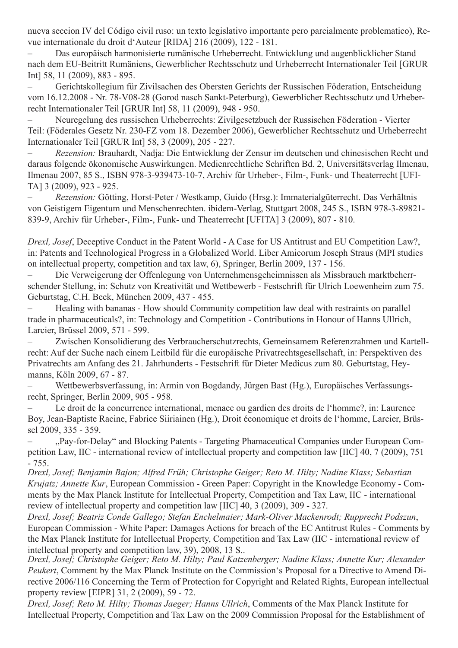nueva seccion IV del Código civil ruso: un texto legislativo importante pero parcialmente problematico), Revue internationale du droit d'Auteur [RIDA] 216 (2009), 122 - 181.

– Das europäisch harmonisierte rumänische Urheberrecht. Entwicklung und augenblicklicher Stand nach dem EU-Beitritt Rumäniens, Gewerblicher Rechtsschutz und Urheberrecht Internationaler Teil [GRUR Int] 58, 11 (2009), 883 - 895.

Gerichtskollegium für Zivilsachen des Obersten Gerichts der Russischen Föderation, Entscheidung vom 16.12.2008 - Nr. 78-V08-28 (Gorod nasch Sankt-Peterburg), Gewerblicher Rechtsschutz und Urheberrecht Internationaler Teil [GRUR Int] 58, 11 (2009), 948 - 950.

Neuregelung des russischen Urheberrechts: Zivilgesetzbuch der Russischen Föderation - Vierter Teil: (Föderales Gesetz Nr. 230-FZ vom 18. Dezember 2006), Gewerblicher Rechtsschutz und Urheberrecht Internationaler Teil [GRUR Int] 58, 3 (2009), 205 - 227.

Rezension: Brauhardt, Nadja: Die Entwicklung der Zensur im deutschen und chinesischen Recht und daraus folgende ökonomische Auswirkungen. Medienrechtliche Schriften Bd. 2, Universitätsverlag Ilmenau, Ilmenau 2007, 85 S., ISBN 978-3-939473-10-7, Archiv für Urheber-, Film-, Funk- und Theaterrecht [UFI-TA] 3 (2009), 923 - 925.

– *Rezension:* Götting, Horst-Peter / Westkamp, Guido (Hrsg.): Immaterialgüterrecht. Das Verhältnis von Geistigem Eigentum und Menschenrechten. ibidem-Verlag, Stuttgart 2008, 245 S., ISBN 978-3-89821- 839-9, Archiv für Urheber-, Film-, Funk- und Theaterrecht [UFITA] 3 (2009), 807 - 810.

*Drexl, Josef*, Deceptive Conduct in the Patent World - A Case for US Antitrust and EU Competition Law?, in: Patents and Technological Progress in a Globalized World. Liber Amicorum Joseph Straus (MPI studies on intellectual property, competition and tax law, 6), Springer, Berlin 2009, 137 - 156.

Die Verweigerung der Offenlegung von Unternehmensgeheimnissen als Missbrauch marktbeherrschender Stellung, in: Schutz von Kreativität und Wettbewerb - Festschrift für Ulrich Loewenheim zum 75. Geburtstag, C.H. Beck, München 2009, 437 - 455.

Healing with bananas - How should Community competition law deal with restraints on parallel trade in pharmaceuticals?, in: Technology and Competition - Contributions in Honour of Hanns Ullrich, Larcier, Brüssel 2009, 571 - 599.

Zwischen Konsolidierung des Verbraucherschutzrechts, Gemeinsamem Referenzrahmen und Kartellrecht: Auf der Suche nach einem Leitbild für die europäische Privatrechtsgesellschaft, in: Perspektiven des Privatrechts am Anfang des 21. Jahrhunderts - Festschrift für Dieter Medicus zum 80. Geburtstag, Heymanns, Köln 2009, 67 - 87.

– Wettbewerbsverfassung, in: Armin von Bogdandy, Jürgen Bast (Hg.), Europäisches Verfassungsrecht, Springer, Berlin 2009, 905 - 958.

Le droit de la concurrence international, menace ou gardien des droits de l'homme?, in: Laurence Boy, Jean-Baptiste Racine, Fabrice Siiriainen (Hg.), Droit économique et droits de l'homme, Larcier, Brüssel 2009, 335 - 359.

"Pay-for-Delay" and Blocking Patents - Targeting Phamaceutical Companies under European Competition Law, IIC - international review of intellectual property and competition law [IIC] 40, 7 (2009), 751 - 755.

*Drexl, Josef; Benjamin Bajon; Alfred Früh; Christophe Geiger; Reto M. Hilty; Nadine Klass; Sebastian Krujatz; Annette Kur*, European Commission - Green Paper: Copyright in the Knowledge Economy - Comments by the Max Planck Institute for Intellectual Property, Competition and Tax Law, IIC - international review of intellectual property and competition law [IIC] 40, 3 (2009), 309 - 327.

*Drexl, Josef; Beatriz Conde Gallego; Stefan Enchelmaier; Mark-Oliver Mackenrodt; Rupprecht Podszun*, European Commission - White Paper: Damages Actions for breach of the EC Antitrust Rules - Comments by the Max Planck Institute for Intellectual Property, Competition and Tax Law (IIC - international review of intellectual property and competition law, 39), 2008, 13 S..

*Drexl, Josef; Christophe Geiger; Reto M. Hilty; Paul Katzenberger; Nadine Klass; Annette Kur; Alexander Peukert*, Comment by the Max Planck Institute on the Commission's Proposal for a Directive to Amend Directive 2006/116 Concerning the Term of Protection for Copyright and Related Rights, European intellectual property review [EIPR] 31, 2 (2009), 59 - 72.

*Drexl, Josef; Reto M. Hilty; Thomas Jaeger; Hanns Ullrich*, Comments of the Max Planck Institute for Intellectual Property, Competition and Tax Law on the 2009 Commission Proposal for the Establishment of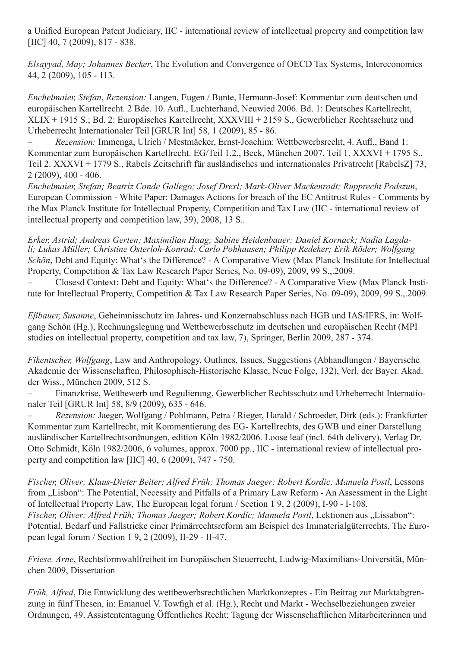a Unified European Patent Judiciary, IIC - international review of intellectual property and competition law [IIC] 40, 7 (2009), 817 - 838.

*Elsayyad, May; Johannes Becker*, The Evolution and Convergence of OECD Tax Systems, Intereconomics 44, 2 (2009), 105 - 113.

*Enchelmaier, Stefan*, *Rezension:* Langen, Eugen / Bunte, Hermann-Josef: Kommentar zum deutschen und europäischen Kartellrecht. 2 Bde. 10. Aufl., Luchterhand, Neuwied 2006. Bd. 1: Deutsches Kartellrecht, XLIX + 1915 S.; Bd. 2: Europäisches Kartellrecht, XXXVIII + 2159 S., Gewerblicher Rechtsschutz und Urheberrecht Internationaler Teil [GRUR Int] 58, 1 (2009), 85 - 86.

– *Rezension:* Immenga, Ulrich / Mestmäcker, Ernst-Joachim: Wettbewerbsrecht, 4. Aufl., Band 1: Kommentar zum Europäischen Kartellrecht. EG/Teil 1.2., Beck, München 2007, Teil 1. XXXVI + 1795 S., Teil 2. XXXVI + 1779 S., Rabels Zeitschrift für ausländisches und internationales Privatrecht [RabelsZ] 73, 2 (2009), 400 - 406.

*Enchelmaier, Stefan; Beatriz Conde Gallego; Josef Drexl; Mark-Oliver Mackenrodt; Rupprecht Podszun*, European Commission - White Paper: Damages Actions for breach of the EC Antitrust Rules - Comments by the Max Planck Institute for Intellectual Property, Competition and Tax Law (IIC - international review of intellectual property and competition law, 39), 2008, 13 S..

*Erker, Astrid; Andreas Gerten; Maximilian Haag; Sabine Heidenbauer; Daniel Kornack; Nadia Lagdali; Lukas Müller; Christine Osterloh-Konrad; Carlo Pohhausen; Philipp Redeker; Erik Röder; Wolfgang Schön*, Debt and Equity: What's the Difference? - A Comparative View (Max Planck Institute for Intellectual Property, Competition & Tax Law Research Paper Series, No. 09-09), 2009, 99 S.,.2009.

Closesd Context: Debt and Equity: What's the Difference? - A Comparative View (Max Planck Institute for Intellectual Property, Competition & Tax Law Research Paper Series, No. 09-09), 2009, 99 S.,.2009.

*Eßbauer, Susanne*, Geheimnisschutz im Jahres- und Konzernabschluss nach HGB und IAS/IFRS, in: Wolfgang Schön (Hg.), Rechnungslegung und Wettbewerbsschutz im deutschen und europäischen Recht (MPI studies on intellectual property, competition and tax law, 7), Springer, Berlin 2009, 287 - 374.

*Fikentscher, Wolfgang*, Law and Anthropology. Outlines, Issues, Suggestions (Abhandlungen / Bayerische Akademie der Wissenschaften, Philosophisch-Historische Klasse, Neue Folge, 132), Verl. der Bayer. Akad. der Wiss., München 2009, 512 S.

Finanzkrise, Wettbewerb und Regulierung, Gewerblicher Rechtsschutz und Urheberrecht Internationaler Teil [GRUR Int] 58, 8/9 (2009), 635 - 646.

– *Rezension:* Jaeger, Wolfgang / Pohlmann, Petra / Rieger, Harald / Schroeder, Dirk (eds.): Frankfurter Kommentar zum Kartellrecht, mit Kommentierung des EG- Kartellrechts, des GWB und einer Darstellung ausländischer Kartellrechtsordnungen, edition Köln 1982/2006. Loose leaf (incl. 64th delivery), Verlag Dr. Otto Schmidt, Köln 1982/2006, 6 volumes, approx. 7000 pp., IIC - international review of intellectual property and competition law [IIC] 40, 6 (2009), 747 - 750.

*Fischer, Oliver; Klaus-Dieter Beiter; Alfred Früh; Thomas Jaeger; Robert Kordic; Manuela Postl*, Lessons from ...Lisbon": The Potential, Necessity and Pitfalls of a Primary Law Reform - An Assessment in the Light of Intellectual Property Law, The European legal forum / Section 1 9, 2 (2009), I-90 - I-108. *Fischer, Oliver; Alfred Früh; Thomas Jaeger; Robert Kordic; Manuela Postl, Lektionen aus "Lissabon":* Potential, Bedarf und Fallstricke einer Primärrechtsreform am Beispiel des Immaterialgüterrechts, The European legal forum / Section 1 9, 2 (2009), II-29 - II-47.

*Friese, Arne*, Rechtsformwahlfreiheit im Europäischen Steuerrecht, Ludwig-Maximilians-Universität, München 2009, Dissertation

*Früh, Alfred*, Die Entwicklung des wettbewerbsrechtlichen Marktkonzeptes - Ein Beitrag zur Marktabgrenzung in fünf Thesen, in: Emanuel V. Towfigh et al. (Hg.), Recht und Markt - Wechselbeziehungen zweier Ordnungen, 49. Assistententagung Öffentliches Recht; Tagung der Wissenschaftlichen Mitarbeiterinnen und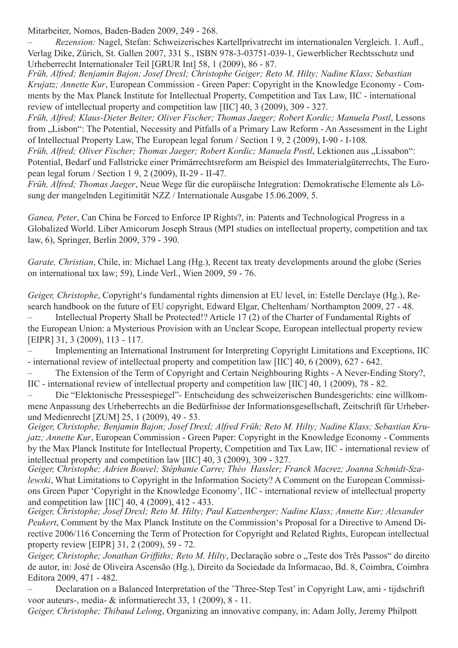Mitarbeiter, Nomos, Baden-Baden 2009, 249 - 268.

– *Rezension:* Nagel, Stefan: Schweizerisches Kartellprivatrecht im internationalen Vergleich. 1. Aufl., Verlag Dike, Zürich, St. Gallen 2007, 331 S., ISBN 978-3-03751-039-1, Gewerblicher Rechtsschutz und Urheberrecht Internationaler Teil [GRUR Int] 58, 1 (2009), 86 - 87.

*Früh, Alfred; Benjamin Bajon; Josef Drexl; Christophe Geiger; Reto M. Hilty; Nadine Klass; Sebastian Krujatz; Annette Kur*, European Commission - Green Paper: Copyright in the Knowledge Economy - Comments by the Max Planck Institute for Intellectual Property, Competition and Tax Law, IIC - international review of intellectual property and competition law [IIC] 40, 3 (2009), 309 - 327.

*Früh, Alfred; Klaus-Dieter Beiter; Oliver Fischer; Thomas Jaeger; Robert Kordic; Manuela Postl*, Lessons from "Lisbon": The Potential, Necessity and Pitfalls of a Primary Law Reform - An Assessment in the Light of Intellectual Property Law, The European legal forum / Section 1 9, 2 (2009), I-90 - I-108.

*Früh, Alfred; Oliver Fischer; Thomas Jaeger; Robert Kordic; Manuela Postl, Lektionen aus "Lissabon":* Potential, Bedarf und Fallstricke einer Primärrechtsreform am Beispiel des Immaterialgüterrechts, The European legal forum / Section 1 9, 2 (2009), II-29 - II-47.

*Früh, Alfred; Thomas Jaeger*, Neue Wege für die europäische Integration: Demokratische Elemente als Lösung der mangelnden Legitimität NZZ / Internationale Ausgabe 15.06.2009, 5.

*Ganea, Peter*, Can China be Forced to Enforce IP Rights?, in: Patents and Technological Progress in a Globalized World. Liber Amicorum Joseph Straus (MPI studies on intellectual property, competition and tax law, 6), Springer, Berlin 2009, 379 - 390.

*Garate, Christian*, Chile, in: Michael Lang (Hg.), Recent tax treaty developments around the globe (Series on international tax law; 59), Linde Verl., Wien 2009, 59 - 76.

*Geiger, Christophe*, Copyright's fundamental rights dimension at EU level, in: Estelle Derclaye (Hg.), Research handbook on the future of EU copyright, Edward Elgar, Cheltenham/ Northampton 2009, 27 - 48. Intellectual Property Shall be Protected!? Article 17 (2) of the Charter of Fundamental Rights of

the European Union: a Mysterious Provision with an Unclear Scope, European intellectual property review [EIPR] 31, 3 (2009), 113 - 117.

– Implementing an International Instrument for Interpreting Copyright Limitations and Exceptions, IIC - international review of intellectual property and competition law [IIC] 40, 6 (2009), 627 - 642.

The Extension of the Term of Copyright and Certain Neighbouring Rights - A Never-Ending Story?, IIC - international review of intellectual property and competition law [IIC] 40, 1 (2009), 78 - 82.

Die "Elektonische Pressespiegel"- Entscheidung des schweizerischen Bundesgerichts: eine willkommene Anpassung des Urheberrechts an die Bedürfnisse der Informationsgesellschaft, Zeitschrift für Urheberund Medienrecht [ZUM] 25, 1 (2009), 49 - 53.

*Geiger, Christophe; Benjamin Bajon; Josef Drexl; Alfred Früh; Reto M. Hilty; Nadine Klass; Sebastian Krujatz; Annette Kur*, European Commission - Green Paper: Copyright in the Knowledge Economy - Comments by the Max Planck Institute for Intellectual Property, Competition and Tax Law, IIC - international review of intellectual property and competition law [IIC] 40, 3 (2009), 309 - 327.

*Geiger, Christophe; Adrien Bouvel; Stéphanie Carre; Théo Hassler; Franck Macrez; Joanna Schmidt-Szalewski*, What Limitations to Copyright in the Information Society? A Comment on the European Commissions Green Paper 'Copyright in the Knowledge Economy', IIC - international review of intellectual property and competition law [IIC] 40, 4 (2009), 412 - 433.

*Geiger, Christophe; Josef Drexl; Reto M. Hilty; Paul Katzenberger; Nadine Klass; Annette Kur; Alexander Peukert*, Comment by the Max Planck Institute on the Commission's Proposal for a Directive to Amend Directive 2006/116 Concerning the Term of Protection for Copyright and Related Rights, European intellectual property review [EIPR] 31, 2 (2009), 59 - 72.

*Geiger, Christophe; Jonathan Griffiths; Reto M. Hilty, Declaração sobre o "Teste dos Três Passos" do direito* de autor, in: José de Oliveira Ascensão (Hg.), Direito da Sociedade da Informacao, Bd. 8, Coimbra, Coimbra Editora 2009, 471 - 482.

Declaration on a Balanced Interpretation of the 'Three-Step Test' in Copyright Law, ami - tijdschrift voor auteurs-, media- & informatierecht 33, 1 (2009), 8 - 11.

*Geiger, Christophe; Thibaud Lelong*, Organizing an innovative company, in: Adam Jolly, Jeremy Philpott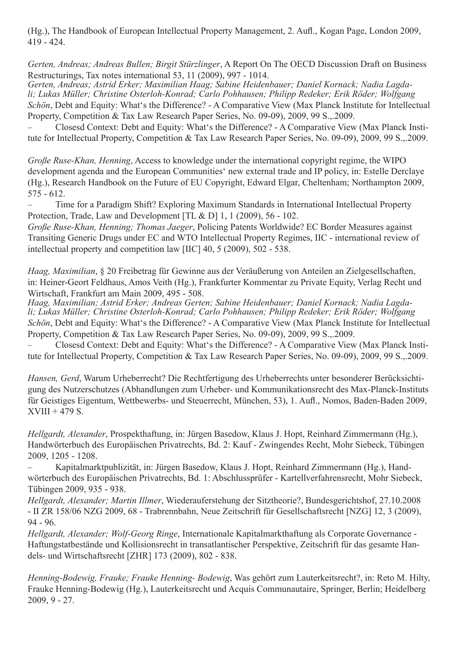(Hg.), The Handbook of European Intellectual Property Management, 2. Aufl., Kogan Page, London 2009, 419 - 424.

*Gerten, Andreas; Andreas Bullen; Birgit Stürzlinger*, A Report On The OECD Discussion Draft on Business

Restructurings, Tax notes international 53, 11 (2009), 997 - 1014.<br>Gerten, Andreas; Astrid Erker; Maximilian Haag; Sabine Heidenbauer; Daniel Kornack: Nadia Lagda-*Gerten, Andreas; Astrid Erker; Maximilian Haag; Sabine Heidenbauer; Daniel Kornack; Nadia Lagda- li; Lukas Müller; Christine Osterloh-Konrad; Carlo Pohhausen; Philipp Redeker; Erik Röder; Wolfgang Schön*, Debt and Equity: What's the Difference? - A Comparative View (Max Planck Institute for Intellectual Property, Competition & Tax Law Research Paper Series, No. 09-09), 2009, 99 S.,.2009.

Closesd Context: Debt and Equity: What's the Difference? - A Comparative View (Max Planck Institute for Intellectual Property, Competition & Tax Law Research Paper Series, No. 09-09), 2009, 99 S.,.2009.

*Große Ruse-Khan, Henning*, Access to knowledge under the international copyright regime, the WIPO development agenda and the European Communities' new external trade and IP policy, in: Estelle Derclaye (Hg.), Research Handbook on the Future of EU Copyright, Edward Elgar, Cheltenham; Northampton 2009, 575 - 612.

Time for a Paradigm Shift? Exploring Maximum Standards in International Intellectual Property Protection, Trade, Law and Development [TL & D] 1, 1 (2009), 56 - 102.

*Große Ruse-Khan, Henning; Thomas Jaeger*, Policing Patents Worldwide? EC Border Measures against Transiting Generic Drugs under EC and WTO Intellectual Property Regimes, IIC - international review of intellectual property and competition law [IIC] 40, 5 (2009), 502 - 538.

*Haag, Maximilian*, § 20 Freibetrag für Gewinne aus der Veräußerung von Anteilen an Zielgesellschaften, in: Heiner-Geort Feldhaus, Amos Veith (Hg.), Frankfurter Kommentar zu Private Equity, Verlag Recht und Wirtschaft, Frankfurt am Main 2009, 495 - 508.

*Haag, Maximilian; Astrid Erker; Andreas Gerten; Sabine Heidenbauer; Daniel Kornack; Nadia Lagdali; Lukas Müller; Christine Osterloh-Konrad; Carlo Pohhausen; Philipp Redeker; Erik Röder; Wolfgang Schön*, Debt and Equity: What's the Difference? - A Comparative View (Max Planck Institute for Intellectual Property, Competition & Tax Law Research Paper Series, No. 09-09), 2009, 99 S.,.2009.

Closesd Context: Debt and Equity: What's the Difference? - A Comparative View (Max Planck Institute for Intellectual Property, Competition & Tax Law Research Paper Series, No. 09-09), 2009, 99 S.,.2009.

*Hansen, Gerd*, Warum Urheberrecht? Die Rechtfertigung des Urheberrechts unter besonderer Berücksichtigung des Nutzerschutzes (Abhandlungen zum Urheber- und Kommunikationsrecht des Max-Planck-Instituts für Geistiges Eigentum, Wettbewerbs- und Steuerrecht, München, 53), 1. Aufl., Nomos, Baden-Baden 2009,  $XVIII + 479 S.$ 

*Hellgardt, Alexander*, Prospekthaftung, in: Jürgen Basedow, Klaus J. Hopt, Reinhard Zimmermann (Hg.), Handwörterbuch des Europäischen Privatrechts, Bd. 2: Kauf - Zwingendes Recht, Mohr Siebeck, Tübingen 2009, 1205 - 1208.

Kapitalmarktpublizität, in: Jürgen Basedow, Klaus J. Hopt, Reinhard Zimmermann (Hg.), Handwörterbuch des Europäischen Privatrechts, Bd. 1: Abschlussprüfer - Kartellverfahrensrecht, Mohr Siebeck, Tübingen 2009, 935 - 938.

*Hellgardt, Alexander; Martin Illmer*, Wiederauferstehung der Sitztheorie?, Bundesgerichtshof, 27.10.2008 - II ZR 158/06 NZG 2009, 68 - Trabrennbahn, Neue Zeitschrift für Gesellschaftsrecht [NZG] 12, 3 (2009), 94 - 96.

*Hellgardt, Alexander; Wolf-Georg Ringe*, Internationale Kapitalmarkthaftung als Corporate Governance - Haftungstatbestände und Kollisionsrecht in transatlantischer Perspektive, Zeitschrift für das gesamte Handels- und Wirtschaftsrecht [ZHR] 173 (2009), 802 - 838.

*Henning-Bodewig, Frauke; Frauke Henning- Bodewig*, Was gehört zum Lauterkeitsrecht?, in: Reto M. Hilty, Frauke Henning-Bodewig (Hg.), Lauterkeitsrecht und Acquis Communautaire, Springer, Berlin; Heidelberg 2009, 9 - 27.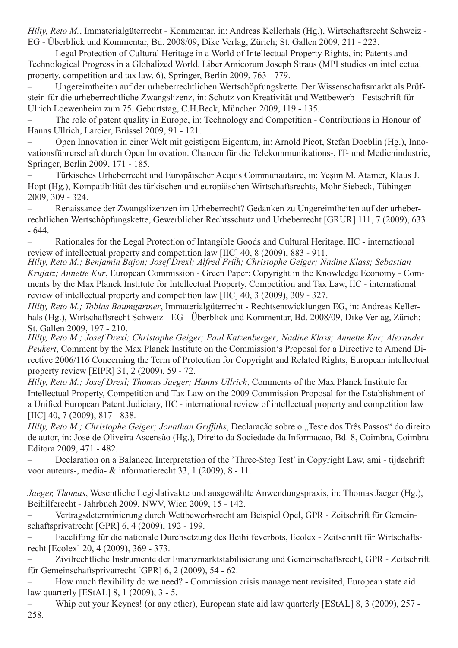*Hilty, Reto M.*, Immaterialgüterrecht - Kommentar, in: Andreas Kellerhals (Hg.), Wirtschaftsrecht Schweiz - EG - Überblick und Kommentar, Bd. 2008/09, Dike Verlag, Zürich; St. Gallen 2009, 211 - 223.

Legal Protection of Cultural Heritage in a World of Intellectual Property Rights, in: Patents and Technological Progress in a Globalized World. Liber Amicorum Joseph Straus (MPI studies on intellectual property, competition and tax law, 6), Springer, Berlin 2009, 763 - 779.

Ungereimtheiten auf der urheberrechtlichen Wertschöpfungskette. Der Wissenschaftsmarkt als Prüfstein für die urheberrechtliche Zwangslizenz, in: Schutz von Kreativität und Wettbewerb - Festschrift für Ulrich Loewenheim zum 75. Geburtstag, C.H.Beck, München 2009, 119 - 135.

The role of patent quality in Europe, in: Technology and Competition - Contributions in Honour of Hanns Ullrich, Larcier, Brüssel 2009, 91 - 121.

Open Innovation in einer Welt mit geistigem Eigentum, in: Arnold Picot, Stefan Doeblin (Hg.), Innovationsführerschaft durch Open Innovation. Chancen für die Telekommunikations-, IT- und Medienindustrie, Springer, Berlin 2009, 171 - 185.

Türkisches Urheberrecht und Europäischer Acquis Communautaire, in: Yeşim M. Atamer, Klaus J. Hopt (Hg.), Kompatibilität des türkischen und europäischen Wirtschaftsrechts, Mohr Siebeck, Tübingen 2009, 309 - 324.

Renaissance der Zwangslizenzen im Urheberrecht? Gedanken zu Ungereimtheiten auf der urheberrechtlichen Wertschöpfungskette, Gewerblicher Rechtsschutz und Urheberrecht [GRUR] 111, 7 (2009), 633 - 644.

Rationales for the Legal Protection of Intangible Goods and Cultural Heritage, IIC - international review of intellectual property and competition law [IIC] 40, 8 (2009), 883 - 911.

*Hilty, Reto M.; Benjamin Bajon; Josef Drexl; Alfred Früh; Christophe Geiger; Nadine Klass; Sebastian Krujatz; Annette Kur*, European Commission - Green Paper: Copyright in the Knowledge Economy - Comments by the Max Planck Institute for Intellectual Property, Competition and Tax Law, IIC - international review of intellectual property and competition law [IIC] 40, 3 (2009), 309 - 327.

*Hilty, Reto M.; Tobias Baumgartner*, Immaterialgüterrecht - Rechtsentwicklungen EG, in: Andreas Kellerhals (Hg.), Wirtschaftsrecht Schweiz - EG - Überblick und Kommentar, Bd. 2008/09, Dike Verlag, Zürich; St. Gallen 2009, 197 - 210.

*Hilty, Reto M.; Josef Drexl; Christophe Geiger; Paul Katzenberger; Nadine Klass; Annette Kur; Alexander Peukert*, Comment by the Max Planck Institute on the Commission's Proposal for a Directive to Amend Directive 2006/116 Concerning the Term of Protection for Copyright and Related Rights, European intellectual property review [EIPR] 31, 2 (2009), 59 - 72.

*Hilty, Reto M.; Josef Drexl; Thomas Jaeger; Hanns Ullrich*, Comments of the Max Planck Institute for Intellectual Property, Competition and Tax Law on the 2009 Commission Proposal for the Establishment of a Unified European Patent Judiciary, IIC - international review of intellectual property and competition law [IIC] 40, 7 (2009), 817 - 838.

*Hilty, Reto M.; Christophe Geiger; Jonathan Griffiths, Declaração sobre o "Teste dos Três Passos" do direito* de autor, in: José de Oliveira Ascensão (Hg.), Direito da Sociedade da Informacao, Bd. 8, Coimbra, Coimbra Editora 2009, 471 - 482.

Declaration on a Balanced Interpretation of the 'Three-Step Test' in Copyright Law, ami - tijdschrift voor auteurs-, media- & informatierecht 33, 1 (2009), 8 - 11.

*Jaeger, Thomas*, Wesentliche Legislativakte und ausgewählte Anwendungspraxis, in: Thomas Jaeger (Hg.), Beihilferecht - Jahrbuch 2009, NWV, Wien 2009, 15 - 142.

– Vertragsdeterminierung durch Wettbewerbsrecht am Beispiel Opel, GPR - Zeitschrift für Gemeinschaftsprivatrecht [GPR] 6, 4 (2009), 192 - 199.

– Facelifting für die nationale Durchsetzung des Beihilfeverbots, Ecolex - Zeitschrift für Wirtschaftsrecht [Ecolex] 20, 4 (2009), 369 - 373.

Zivilrechtliche Instrumente der Finanzmarktstabilisierung und Gemeinschaftsrecht, GPR - Zeitschrift für Gemeinschaftsprivatrecht [GPR] 6, 2 (2009), 54 - 62.

How much flexibility do we need? - Commission crisis management revisited, European state aid law quarterly [EStAL] 8, 1 (2009), 3 - 5.

Whip out your Keynes! (or any other), European state aid law quarterly [EStAL] 8, 3 (2009), 257 -258.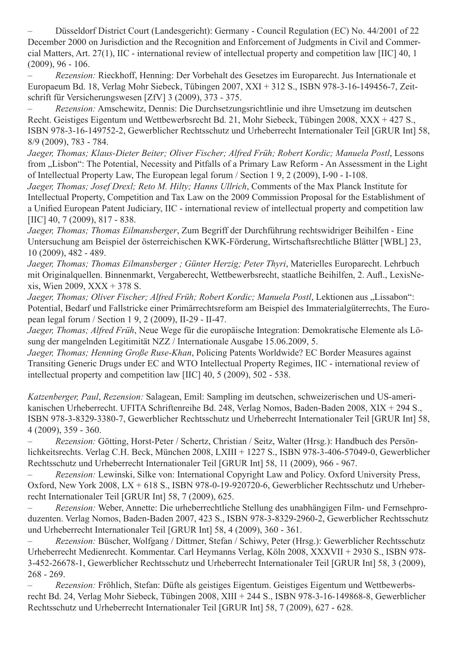Düsseldorf District Court (Landesgericht): Germany - Council Regulation (EC) No. 44/2001 of 22 December 2000 on Jurisdiction and the Recognition and Enforcement of Judgments in Civil and Commercial Matters, Art. 27(1), IIC - international review of intellectual property and competition law [IIC] 40, 1  $(2009)$ , 96 - 106.

– *Rezension:* Rieckhoff, Henning: Der Vorbehalt des Gesetzes im Europarecht. Jus Internationale et Europaeum Bd. 18, Verlag Mohr Siebeck, Tübingen 2007, XXI + 312 S., ISBN 978-3-16-149456-7, Zeitschrift für Versicherungswesen [ZfV] 3 (2009), 373 - 375.

– *Rezension:* Amschewitz, Dennis: Die Durchsetzungsrichtlinie und ihre Umsetzung im deutschen Recht. Geistiges Eigentum und Wettbewerbsrecht Bd. 21, Mohr Siebeck, Tübingen 2008, XXX + 427 S., ISBN 978-3-16-149752-2, Gewerblicher Rechtsschutz und Urheberrecht Internationaler Teil [GRUR Int] 58, 8/9 (2009), 783 - 784.

*Jaeger, Thomas; Klaus-Dieter Beiter; Oliver Fischer; Alfred Früh; Robert Kordic; Manuela Postl*, Lessons from "Lisbon": The Potential, Necessity and Pitfalls of a Primary Law Reform - An Assessment in the Light of Intellectual Property Law, The European legal forum / Section 1 9, 2 (2009), I-90 - I-108.

*Jaeger, Thomas; Josef Drexl; Reto M. Hilty; Hanns Ullrich*, Comments of the Max Planck Institute for Intellectual Property, Competition and Tax Law on the 2009 Commission Proposal for the Establishment of a Unified European Patent Judiciary, IIC - international review of intellectual property and competition law [IIC] 40, 7 (2009), 817 - 838.

*Jaeger, Thomas; Thomas Eilmansberger*, Zum Begriff der Durchführung rechtswidriger Beihilfen - Eine Untersuchung am Beispiel der österreichischen KWK-Förderung, Wirtschaftsrechtliche Blätter [WBL] 23, 10 (2009), 482 - 489.

*Jaeger, Thomas; Thomas Eilmansberger ; Günter Herzig; Peter Thyri*, Materielles Europarecht. Lehrbuch mit Originalquellen. Binnenmarkt, Vergaberecht, Wettbewerbsrecht, staatliche Beihilfen, 2. Aufl., LexisNexis, Wien 2009, XXX + 378 S.

Jaeger, Thomas; Oliver Fischer; Alfred Früh; Robert Kordic; Manuela Postl, Lektionen aus "Lissabon": Potential, Bedarf und Fallstricke einer Primärrechtsreform am Beispiel des Immaterialgüterrechts, The European legal forum / Section 1 9, 2 (2009), II-29 - II-47.

*Jaeger, Thomas; Alfred Früh*, Neue Wege für die europäische Integration: Demokratische Elemente als Lösung der mangelnden Legitimität NZZ / Internationale Ausgabe 15.06.2009, 5.

*Jaeger, Thomas; Henning Große Ruse-Khan*, Policing Patents Worldwide? EC Border Measures against Transiting Generic Drugs under EC and WTO Intellectual Property Regimes, IIC - international review of intellectual property and competition law [IIC] 40, 5 (2009), 502 - 538.

*Katzenberger, Paul*, *Rezension:* Salagean, Emil: Sampling im deutschen, schweizerischen und US-amerikanischen Urheberrecht. UFITA Schriftenreihe Bd. 248, Verlag Nomos, Baden-Baden 2008, XIX + 294 S., ISBN 978-3-8329-3380-7, Gewerblicher Rechtsschutz und Urheberrecht Internationaler Teil [GRUR Int] 58, 4 (2009), 359 - 360.

– *Rezension:* Götting, Horst-Peter / Schertz, Christian / Seitz, Walter (Hrsg.): Handbuch des Persönlichkeitsrechts. Verlag C.H. Beck, München 2008, LXIII + 1227 S., ISBN 978-3-406-57049-0, Gewerblicher Rechtsschutz und Urheberrecht Internationaler Teil [GRUR Int] 58, 11 (2009), 966 - 967.

*Rezension:* Lewinski, Silke von: International Copyright Law and Policy. Oxford University Press, Oxford, New York 2008, LX + 618 S., ISBN 978-0-19-920720-6, Gewerblicher Rechtsschutz und Urheberrecht Internationaler Teil [GRUR Int] 58, 7 (2009), 625.

Rezension: Weber, Annette: Die urheberrechtliche Stellung des unabhängigen Film- und Fernsehproduzenten. Verlag Nomos, Baden-Baden 2007, 423 S., ISBN 978-3-8329-2960-2, Gewerblicher Rechtsschutz und Urheberrecht Internationaler Teil [GRUR Int] 58, 4 (2009), 360 - 361.

– *Rezension:* Büscher, Wolfgang / Dittmer, Stefan / Schiwy, Peter (Hrsg.): Gewerblicher Rechtsschutz Urheberrecht Medienrecht. Kommentar. Carl Heymanns Verlag, Köln 2008, XXXVII + 2930 S., ISBN 978- 3-452-26678-1, Gewerblicher Rechtsschutz und Urheberrecht Internationaler Teil [GRUR Int] 58, 3 (2009), 268 - 269.

*Rezension:* Fröhlich, Stefan: Düfte als geistiges Eigentum. Geistiges Eigentum und Wettbewerbsrecht Bd. 24, Verlag Mohr Siebeck, Tübingen 2008, XIII + 244 S., ISBN 978-3-16-149868-8, Gewerblicher Rechtsschutz und Urheberrecht Internationaler Teil [GRUR Int] 58, 7 (2009), 627 - 628.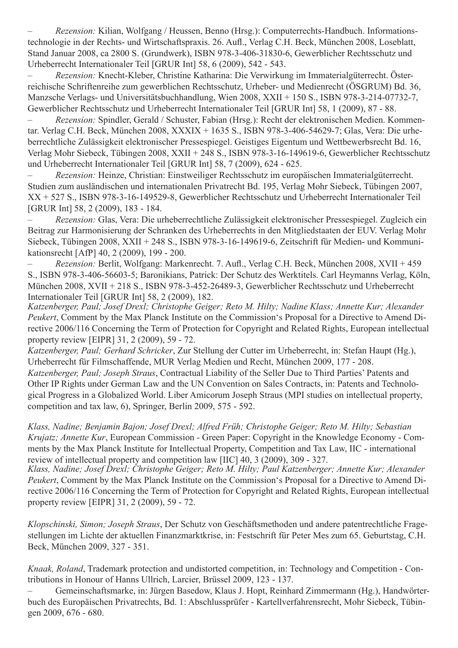*Rezension:* Kilian, Wolfgang / Heussen, Benno (Hrsg.): Computerrechts-Handbuch. Informationstechnologie in der Rechts- und Wirtschaftspraxis. 26. Aufl., Verlag C.H. Beck, München 2008, Loseblatt, Stand Januar 2008, ca 2800 S. (Grundwerk), ISBN 978-3-406-31830-6, Gewerblicher Rechtsschutz und Urheberrecht Internationaler Teil [GRUR Int] 58, 6 (2009), 542 - 543.

– *Rezension:* Knecht-Kleber, Christine Katharina: Die Verwirkung im Immaterialgüterrecht. Österreichische Schriftenreihe zum gewerblichen Rechtsschutz, Urheber- und Medienrecht (ÖSGRUM) Bd. 36, Manzsche Verlags- und Universitätsbuchhandlung, Wien 2008, XXII + 150 S., ISBN 978-3-214-07732-7, Gewerblicher Rechtsschutz und Urheberrecht Internationaler Teil [GRUR Int] 58, 1 (2009), 87 - 88.

*Rezension:* Spindler, Gerald / Schuster, Fabian (Hrsg.): Recht der elektronischen Medien. Kommentar. Verlag C.H. Beck, München 2008, XXXIX + 1635 S., ISBN 978-3-406-54629-7; Glas, Vera: Die urheberrechtliche Zulässigkeit elektronischer Pressespiegel. Geistiges Eigentum und Wettbewerbsrecht Bd. 16, Verlag Mohr Siebeck, Tübingen 2008, XXII + 248 S., ISBN 978-3-16-149619-6, Gewerblicher Rechtsschutz und Urheberrecht Internationaler Teil [GRUR Int] 58, 7 (2009), 624 - 625.

– *Rezension:* Heinze, Christian: Einstweiliger Rechtsschutz im europäischen Immaterialgüterrecht. Studien zum ausländischen und internationalen Privatrecht Bd. 195, Verlag Mohr Siebeck, Tübingen 2007, XX + 527 S., ISBN 978-3-16-149529-8, Gewerblicher Rechtsschutz und Urheberrecht Internationaler Teil [GRUR Int] 58, 2 (2009), 183 - 184.

– *Rezension:* Glas, Vera: Die urheberrechtliche Zulässigkeit elektronischer Pressespiegel. Zugleich ein Beitrag zur Harmonisierung der Schranken des Urheberrechts in den Mitgliedstaaten der EUV. Verlag Mohr Siebeck, Tübingen 2008, XXII + 248 S., ISBN 978-3-16-149619-6, Zeitschrift für Medien- und Kommunikationsrecht [AfP] 40, 2 (2009), 199 - 200.

Rezension: Berlit, Wolfgang: Markenrecht. 7. Aufl., Verlag C.H. Beck, München 2008, XVII + 459 S., ISBN 978-3-406-56603-5; Baronikians, Patrick: Der Schutz des Werktitels. Carl Heymanns Verlag, Köln, München 2008, XVII + 218 S., ISBN 978-3-452-26489-3, Gewerblicher Rechtsschutz und Urheberrecht Internationaler Teil [GRUR Int] 58, 2 (2009), 182.

*Katzenberger, Paul; Josef Drexl; Christophe Geiger; Reto M. Hilty; Nadine Klass; Annette Kur; Alexander Peukert*, Comment by the Max Planck Institute on the Commission's Proposal for a Directive to Amend Directive 2006/116 Concerning the Term of Protection for Copyright and Related Rights, European intellectual property review [EIPR] 31, 2 (2009), 59 - 72.

*Katzenberger, Paul; Gerhard Schricker*, Zur Stellung der Cutter im Urheberrecht, in: Stefan Haupt (Hg.), Urheberrecht für Filmschaffende, MUR Verlag Medien und Recht, München 2009, 177 - 208. *Katzenberger, Paul; Joseph Straus*, Contractual Liability of the Seller Due to Third Parties' Patents and Other IP Rights under German Law and the UN Convention on Sales Contracts, in: Patents and Technological Progress in a Globalized World. Liber Amicorum Joseph Straus (MPI studies on intellectual property, competition and tax law, 6), Springer, Berlin 2009, 575 - 592.

*Klass, Nadine; Benjamin Bajon; Josef Drexl; Alfred Früh; Christophe Geiger; Reto M. Hilty; Sebastian Krujatz; Annette Kur*, European Commission - Green Paper: Copyright in the Knowledge Economy - Comments by the Max Planck Institute for Intellectual Property, Competition and Tax Law, IIC - international review of intellectual property and competition law [IIC] 40, 3 (2009), 309 - 327.

*Klass, Nadine; Josef Drexl; Christophe Geiger; Reto M. Hilty; Paul Katzenberger; Annette Kur; Alexander Peukert*, Comment by the Max Planck Institute on the Commission's Proposal for a Directive to Amend Directive 2006/116 Concerning the Term of Protection for Copyright and Related Rights, European intellectual property review [EIPR] 31, 2 (2009), 59 - 72.

*Klopschinski, Simon; Joseph Straus*, Der Schutz von Geschäftsmethoden und andere patentrechtliche Fragestellungen im Lichte der aktuellen Finanzmarktkrise, in: Festschrift für Peter Mes zum 65. Geburtstag, C.H. Beck, München 2009, 327 - 351.

*Knaak, Roland*, Trademark protection and undistorted competition, in: Technology and Competition - Contributions in Honour of Hanns Ullrich, Larcier, Brüssel 2009, 123 - 137.

Gemeinschaftsmarke, in: Jürgen Basedow, Klaus J. Hopt, Reinhard Zimmermann (Hg.), Handwörterbuch des Europäischen Privatrechts, Bd. 1: Abschlussprüfer - Kartellverfahrensrecht, Mohr Siebeck, Tübingen 2009, 676 - 680.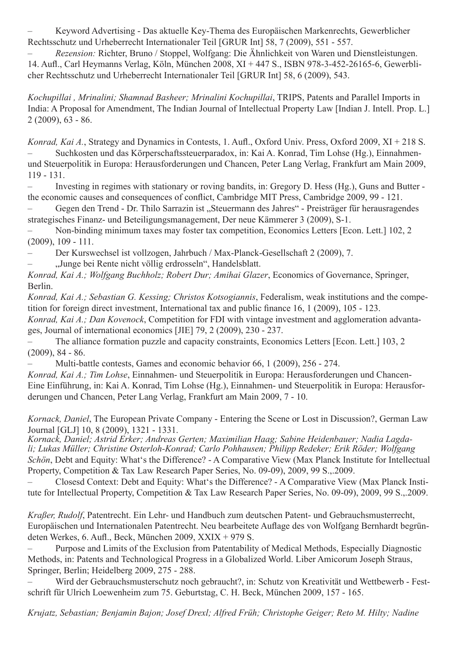Keyword Advertising - Das aktuelle Key-Thema des Europäischen Markenrechts, Gewerblicher Rechtsschutz und Urheberrecht Internationaler Teil [GRUR Int] 58, 7 (2009), 551 - 557.

*Rezension:* Richter, Bruno / Stoppel, Wolfgang: Die Ähnlichkeit von Waren und Dienstleistungen. 14. Aufl., Carl Heymanns Verlag, Köln, München 2008, XI + 447 S., ISBN 978-3-452-26165-6, Gewerblicher Rechtsschutz und Urheberrecht Internationaler Teil [GRUR Int] 58, 6 (2009), 543.

*Kochupillai , Mrinalini; Shamnad Basheer; Mrinalini Kochupillai*, TRIPS, Patents and Parallel Imports in India: A Proposal for Amendment, The Indian Journal of Intellectual Property Law [Indian J. Intell. Prop. L.] 2 (2009), 63 - 86.

*Konrad, Kai A.*, Strategy and Dynamics in Contests, 1. Aufl., Oxford Univ. Press, Oxford 2009, XI + 218 S. Suchkosten und das Körperschaftssteuerparadox, in: Kai A. Konrad, Tim Lohse (Hg.), Einnahmenund Steuerpolitik in Europa: Herausforderungen und Chancen, Peter Lang Verlag, Frankfurt am Main 2009, 119 - 131.

Investing in regimes with stationary or roving bandits, in: Gregory D. Hess (Hg.), Guns and Butter the economic causes and consequences of conflict, Cambridge MIT Press, Cambridge 2009, 99 - 121.

Gegen den Trend - Dr. Thilo Sarrazin ist "Steuermann des Jahres" - Preisträger für herausragendes strategisches Finanz- und Beteiligungsmanagement, Der neue Kämmerer 3 (2009), S-1.

Non-binding minimum taxes may foster tax competition, Economics Letters [Econ. Lett.] 102, 2 (2009), 109 - 111.

Der Kurswechsel ist vollzogen, Jahrbuch / Max-Planck-Gesellschaft 2 (2009), 7.

"Junge bei Rente nicht völlig erdrosseln", Handelsblatt.

*Konrad, Kai A.; Wolfgang Buchholz; Robert Dur; Amihai Glazer*, Economics of Governance, Springer, Berlin.

*Konrad, Kai A.; Sebastian G. Kessing; Christos Kotsogiannis*, Federalism, weak institutions and the competition for foreign direct investment, International tax and public finance 16, 1 (2009), 105 - 123.

*Konrad, Kai A.; Dan Kovenock*, Competition for FDI with vintage investment and agglomeration advantages, Journal of international economics [JIE] 79, 2 (2009), 230 - 237.

The alliance formation puzzle and capacity constraints, Economics Letters [Econ. Lett.] 103, 2 (2009), 84 - 86.

Multi-battle contests, Games and economic behavior 66, 1 (2009), 256 - 274.

*Konrad, Kai A.; Tim Lohse*, Einnahmen- und Steuerpolitik in Europa: Herausforderungen und Chancen-Eine Einführung, in: Kai A. Konrad, Tim Lohse (Hg.), Einnahmen- und Steuerpolitik in Europa: Herausforderungen und Chancen, Peter Lang Verlag, Frankfurt am Main 2009, 7 - 10.

*Kornack, Daniel*, The European Private Company - Entering the Scene or Lost in Discussion?, German Law Journal [GLJ] 10, 8 (2009), 1321 - 1331.<br>Kornack, Daniel; Astrid Erker; Andreas Gerten; Maximilian Haag; Sabine Heidenbauer; Nadia Lagda-

*Kornack, Daniel; Astrid Erker; Andreas Gerten; Maximilian Haag; Sabine Heidenbauer; Nadia Lagda- li; Lukas Müller; Christine Osterloh-Konrad; Carlo Pohhausen; Philipp Redeker; Erik Röder; Wolfgang Schön*, Debt and Equity: What's the Difference? - A Comparative View (Max Planck Institute for Intellectual Property, Competition & Tax Law Research Paper Series, No. 09-09), 2009, 99 S.,.2009.

Closesd Context: Debt and Equity: What's the Difference? - A Comparative View (Max Planck Institute for Intellectual Property, Competition & Tax Law Research Paper Series, No. 09-09), 2009, 99 S.,.2009.

*Kraßer, Rudolf*, Patentrecht. Ein Lehr- und Handbuch zum deutschen Patent- und Gebrauchsmusterrecht, Europäischen und Internationalen Patentrecht. Neu bearbeitete Auflage des von Wolfgang Bernhardt begründeten Werkes, 6. Aufl., Beck, München 2009, XXIX + 979 S.

Purpose and Limits of the Exclusion from Patentability of Medical Methods, Especially Diagnostic Methods, in: Patents and Technological Progress in a Globalized World. Liber Amicorum Joseph Straus, Springer, Berlin; Heidelberg 2009, 275 - 288.

Wird der Gebrauchsmusterschutz noch gebraucht?, in: Schutz von Kreativität und Wettbewerb - Festschrift für Ulrich Loewenheim zum 75. Geburtstag, C. H. Beck, München 2009, 157 - 165.

*Krujatz, Sebastian; Benjamin Bajon; Josef Drexl; Alfred Früh; Christophe Geiger; Reto M. Hilty; Nadine*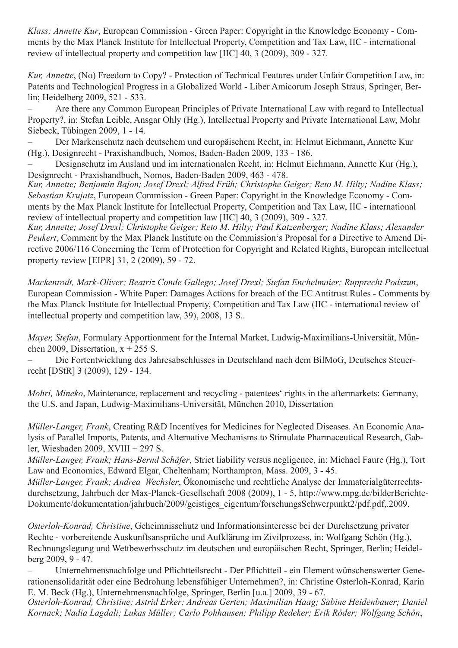*Klass; Annette Kur*, European Commission - Green Paper: Copyright in the Knowledge Economy - Comments by the Max Planck Institute for Intellectual Property, Competition and Tax Law, IIC - international review of intellectual property and competition law [IIC] 40, 3 (2009), 309 - 327.

*Kur, Annette*, (No) Freedom to Copy? - Protection of Technical Features under Unfair Competition Law, in: Patents and Technological Progress in a Globalized World - Liber Amicorum Joseph Straus, Springer, Berlin; Heidelberg 2009, 521 - 533.

Are there any Common European Principles of Private International Law with regard to Intellectual Property?, in: Stefan Leible, Ansgar Ohly (Hg.), Intellectual Property and Private International Law, Mohr Siebeck, Tübingen 2009, 1 - 14.

Der Markenschutz nach deutschem und europäischem Recht, in: Helmut Eichmann, Annette Kur (Hg.), Designrecht - Praxishandbuch, Nomos, Baden-Baden 2009, 133 - 186.

– Designschutz im Ausland und im internationalen Recht, in: Helmut Eichmann, Annette Kur (Hg.), Designrecht - Praxishandbuch, Nomos, Baden-Baden 2009, 463 - 478.

*Kur, Annette; Benjamin Bajon; Josef Drexl; Alfred Früh; Christophe Geiger; Reto M. Hilty; Nadine Klass; Sebastian Krujatz*, European Commission - Green Paper: Copyright in the Knowledge Economy - Comments by the Max Planck Institute for Intellectual Property, Competition and Tax Law, IIC - international review of intellectual property and competition law [IIC] 40, 3 (2009), 309 - 327.

*Kur, Annette; Josef Drexl; Christophe Geiger; Reto M. Hilty; Paul Katzenberger; Nadine Klass; Alexander Peukert*, Comment by the Max Planck Institute on the Commission's Proposal for a Directive to Amend Directive 2006/116 Concerning the Term of Protection for Copyright and Related Rights, European intellectual property review [EIPR] 31, 2 (2009), 59 - 72.

*Mackenrodt, Mark-Oliver; Beatriz Conde Gallego; Josef Drexl; Stefan Enchelmaier; Rupprecht Podszun*, European Commission - White Paper: Damages Actions for breach of the EC Antitrust Rules - Comments by the Max Planck Institute for Intellectual Property, Competition and Tax Law (IIC - international review of intellectual property and competition law, 39), 2008, 13 S..

*Mayer, Stefan*, Formulary Apportionment for the Internal Market, Ludwig-Maximilians-Universität, München 2009, Dissertation,  $x + 255$  S.

Die Fortentwicklung des Jahresabschlusses in Deutschland nach dem BilMoG, Deutsches Steuerrecht [DStR] 3 (2009), 129 - 134.

*Mohri, Mineko*, Maintenance, replacement and recycling - patentees' rights in the aftermarkets: Germany, the U.S. and Japan, Ludwig-Maximilians-Universität, München 2010, Dissertation

*Müller-Langer, Frank*, Creating R&D Incentives for Medicines for Neglected Diseases. An Economic Analysis of Parallel Imports, Patents, and Alternative Mechanisms to Stimulate Pharmaceutical Research, Gabler, Wiesbaden 2009, XVIII + 297 S.

*Müller-Langer, Frank; Hans-Bernd Schäfer*, Strict liability versus negligence, in: Michael Faure (Hg.), Tort Law and Economics, Edward Elgar, Cheltenham; Northampton, Mass. 2009, 3 - 45.

*Müller-Langer, Frank; Andrea Wechsler*, Ökonomische und rechtliche Analyse der Immaterialgüterrechtsdurchsetzung, Jahrbuch der Max-Planck-Gesellschaft 2008 (2009), 1 - 5, http://www.mpg.de/bilderBerichte-Dokumente/dokumentation/jahrbuch/2009/geistiges\_eigentum/forschungsSchwerpunkt2/pdf.pdf,.2009.

*Osterloh-Konrad, Christine*, Geheimnisschutz und Informationsinteresse bei der Durchsetzung privater Rechte - vorbereitende Auskunftsansprüche und Aufklärung im Zivilprozess, in: Wolfgang Schön (Hg.), Rechnungslegung und Wettbewerbsschutz im deutschen und europäischen Recht, Springer, Berlin; Heidelberg 2009, 9 - 47.

Unternehmensnachfolge und Pflichtteilsrecht - Der Pflichtteil - ein Element wünschenswerter Generationensolidarität oder eine Bedrohung lebensfähiger Unternehmen?, in: Christine Osterloh-Konrad, Karin E. M. Beck (Hg.), Unternehmensnachfolge, Springer, Berlin [u.a.] 2009, 39 - 67.

*Osterloh-Konrad, Christine; Astrid Erker; Andreas Gerten; Maximilian Haag; Sabine Heidenbauer; Daniel Kornack; Nadia Lagdali; Lukas Müller; Carlo Pohhausen; Philipp Redeker; Erik Röder; Wolfgang Schön*,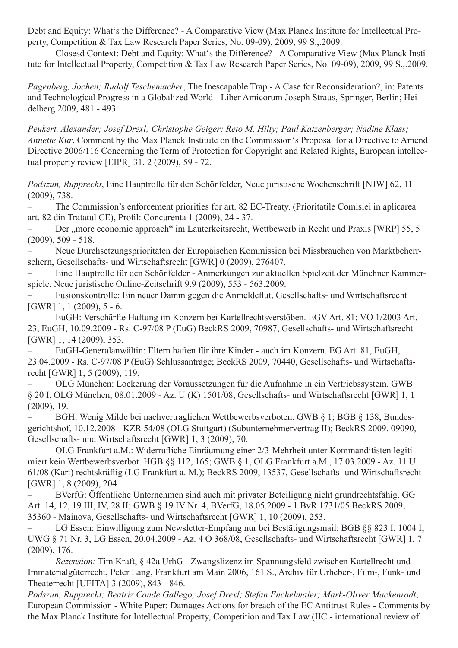Debt and Equity: What's the Difference? - A Comparative View (Max Planck Institute for Intellectual Property, Competition & Tax Law Research Paper Series, No. 09-09), 2009, 99 S.,.2009.

Closesd Context: Debt and Equity: What's the Difference? - A Comparative View (Max Planck Institute for Intellectual Property, Competition & Tax Law Research Paper Series, No. 09-09), 2009, 99 S.,.2009.

*Pagenberg, Jochen; Rudolf Teschemacher*, The Inescapable Trap - A Case for Reconsideration?, in: Patents and Technological Progress in a Globalized World - Liber Amicorum Joseph Straus, Springer, Berlin; Heidelberg 2009, 481 - 493.

*Peukert, Alexander; Josef Drexl; Christophe Geiger; Reto M. Hilty; Paul Katzenberger; Nadine Klass; Annette Kur*, Comment by the Max Planck Institute on the Commission's Proposal for a Directive to Amend Directive 2006/116 Concerning the Term of Protection for Copyright and Related Rights, European intellectual property review [EIPR] 31, 2 (2009), 59 - 72.

*Podszun, Rupprecht*, Eine Hauptrolle für den Schönfelder, Neue juristische Wochenschrift [NJW] 62, 11 (2009), 738.

The Commission's enforcement priorities for art. 82 EC-Treaty. (Prioritatile Comisiei in aplicarea art. 82 din Tratatul CE), Profil: Concurenta 1 (2009), 24 - 37.

Der "more economic approach" im Lauterkeitsrecht, Wettbewerb in Recht und Praxis [WRP] 55, 5 (2009), 509 - 518.

Neue Durchsetzungsprioritäten der Europäischen Kommission bei Missbräuchen von Marktbeherrschern, Gesellschafts- und Wirtschaftsrecht [GWR] 0 (2009), 276407.

Eine Hauptrolle für den Schönfelder - Anmerkungen zur aktuellen Spielzeit der Münchner Kammerspiele, Neue juristische Online-Zeitschrift 9.9 (2009), 553 - 563.2009.

Fusionskontrolle: Ein neuer Damm gegen die Anmeldeflut, Gesellschafts- und Wirtschaftsrecht [GWR] 1, 1 (2009), 5 - 6.

EuGH: Verschärfte Haftung im Konzern bei Kartellrechtsverstößen. EGV Art. 81: VO 1/2003 Art. 23, EuGH, 10.09.2009 - Rs. C-97/08 P (EuG) BeckRS 2009, 70987, Gesellschafts- und Wirtschaftsrecht [GWR] 1, 14 (2009), 353.

EuGH-Generalanwältin: Eltern haften für ihre Kinder - auch im Konzern. EG Art. 81, EuGH, 23.04.2009 - Rs. C-97/08 P (EuG) Schlussanträge; BeckRS 2009, 70440, Gesellschafts- und Wirtschaftsrecht [GWR] 1, 5 (2009), 119.

OLG München: Lockerung der Voraussetzungen für die Aufnahme in ein Vertriebssystem. GWB § 20 I, OLG München, 08.01.2009 - Az. U (K) 1501/08, Gesellschafts- und Wirtschaftsrecht [GWR] 1, 1 (2009), 19.

– BGH: Wenig Milde bei nachvertraglichen Wettbewerbsverboten. GWB § 1; BGB § 138, Bundesgerichtshof, 10.12.2008 - KZR 54/08 (OLG Stuttgart) (Subunternehmervertrag II); BeckRS 2009, 09090, Gesellschafts- und Wirtschaftsrecht [GWR] 1, 3 (2009), 70.

– OLG Frankfurt a.M.: Widerrufliche Einräumung einer 2/3-Mehrheit unter Kommanditisten legitimiert kein Wettbewerbsverbot. HGB §§ 112, 165; GWB § 1, OLG Frankfurt a.M., 17.03.2009 - Az. 11 U 61/08 (Kart) rechtskräftig (LG Frankfurt a. M.); BeckRS 2009, 13537, Gesellschafts- und Wirtschaftsrecht [GWR] 1, 8 (2009), 204.

BVerfG: Öffentliche Unternehmen sind auch mit privater Beteiligung nicht grundrechtsfähig. GG Art. 14, 12, 19 III, IV, 28 II; GWB § 19 IV Nr. 4, BVerfG, 18.05.2009 - 1 BvR 1731/05 BeckRS 2009, 35360 - Mainova, Gesellschafts- und Wirtschaftsrecht [GWR] 1, 10 (2009), 253.

LG Essen: Einwilligung zum Newsletter-Empfang nur bei Bestätigungsmail: BGB §§ 823 I, 1004 I; UWG § 71 Nr. 3, LG Essen, 20.04.2009 - Az. 4 O 368/08, Gesellschafts- und Wirtschaftsrecht [GWR] 1, 7 (2009), 176.

– *Rezension:* Tim Kraft, § 42a UrhG - Zwangslizenz im Spannungsfeld zwischen Kartellrecht und Immaterialgüterrecht, Peter Lang, Frankfurt am Main 2006, 161 S., Archiv für Urheber-, Film-, Funk- und Theaterrecht [UFITA] 3 (2009), 843 - 846.

*Podszun, Rupprecht; Beatriz Conde Gallego; Josef Drexl; Stefan Enchelmaier; Mark-Oliver Mackenrodt*, European Commission - White Paper: Damages Actions for breach of the EC Antitrust Rules - Comments by the Max Planck Institute for Intellectual Property, Competition and Tax Law (IIC - international review of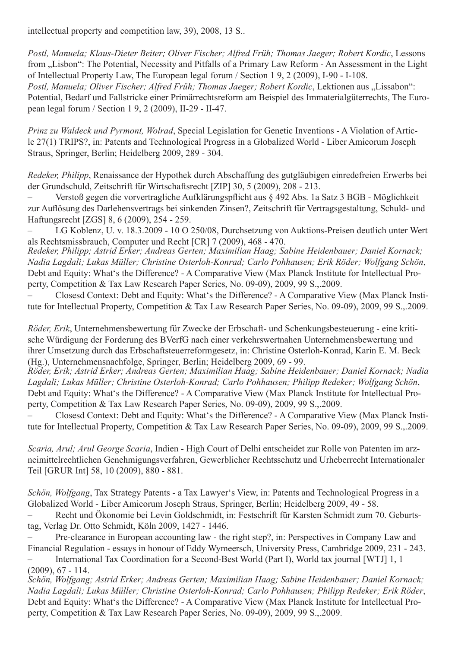intellectual property and competition law, 39), 2008, 13 S..

*Postl, Manuela; Klaus-Dieter Beiter; Oliver Fischer; Alfred Früh; Thomas Jaeger; Robert Kordic*, Lessons from "Lisbon": The Potential, Necessity and Pitfalls of a Primary Law Reform - An Assessment in the Light of Intellectual Property Law, The European legal forum / Section 1 9, 2 (2009), I-90 - I-108. Postl, Manuela; Oliver Fischer; Alfred Früh; Thomas Jaeger; Robert Kordic, Lektionen aus "Lissabon": Potential, Bedarf und Fallstricke einer Primärrechtsreform am Beispiel des Immaterialgüterrechts, The European legal forum / Section 1 9, 2 (2009), II-29 - II-47.

*Prinz zu Waldeck und Pyrmont, Wolrad*, Special Legislation for Genetic Inventions - A Violation of Article 27(1) TRIPS?, in: Patents and Technological Progress in a Globalized World - Liber Amicorum Joseph Straus, Springer, Berlin; Heidelberg 2009, 289 - 304.

*Redeker, Philipp*, Renaissance der Hypothek durch Abschaffung des gutgläubigen einredefreien Erwerbs bei der Grundschuld, Zeitschrift für Wirtschaftsrecht [ZIP] 30, 5 (2009), 208 - 213.

Verstoß gegen die vorvertragliche Aufklärungspflicht aus § 492 Abs. 1a Satz 3 BGB - Möglichkeit zur Auflösung des Darlehensvertrags bei sinkenden Zinsen?, Zeitschrift für Vertragsgestaltung, Schuld- und Haftungsrecht [ZGS] 8, 6 (2009), 254 - 259.

LG Koblenz, U. v. 18.3.2009 - 10 O 250/08, Durchsetzung von Auktions-Preisen deutlich unter Wert als Rechtsmissbrauch, Computer und Recht [CR] 7 (2009), 468 - 470.

*Redeker, Philipp; Astrid Erker; Andreas Gerten; Maximilian Haag; Sabine Heidenbauer; Daniel Kornack; Nadia Lagdali; Lukas Müller; Christine Osterloh-Konrad; Carlo Pohhausen; Erik Röder; Wolfgang Schön*, Debt and Equity: What's the Difference? - A Comparative View (Max Planck Institute for Intellectual Property, Competition & Tax Law Research Paper Series, No. 09-09), 2009, 99 S.,.2009.

Closesd Context: Debt and Equity: What's the Difference? - A Comparative View (Max Planck Institute for Intellectual Property, Competition & Tax Law Research Paper Series, No. 09-09), 2009, 99 S.,.2009.

*Röder, Erik*, Unternehmensbewertung für Zwecke der Erbschaft- und Schenkungsbesteuerung - eine kritische Würdigung der Forderung des BVerfG nach einer verkehrswertnahen Unternehmensbewertung und ihrer Umsetzung durch das Erbschaftsteuerreformgesetz, in: Christine Osterloh-Konrad, Karin E. M. Beck (Hg.), Unternehmensnachfolge, Springer, Berlin; Heidelberg 2009, 69 - 99.

*Röder, Erik; Astrid Erker; Andreas Gerten; Maximilian Haag; Sabine Heidenbauer; Daniel Kornack; Nadia Lagdali; Lukas Müller; Christine Osterloh-Konrad; Carlo Pohhausen; Philipp Redeker; Wolfgang Schön*, Debt and Equity: What's the Difference? - A Comparative View (Max Planck Institute for Intellectual Property, Competition & Tax Law Research Paper Series, No. 09-09), 2009, 99 S.,.2009.

Closesd Context: Debt and Equity: What's the Difference? - A Comparative View (Max Planck Institute for Intellectual Property, Competition & Tax Law Research Paper Series, No. 09-09), 2009, 99 S.,.2009.

*Scaria, Arul; Arul George Scaria*, Indien - High Court of Delhi entscheidet zur Rolle von Patenten im arzneimittelrechtlichen Genehmigungsverfahren, Gewerblicher Rechtsschutz und Urheberrecht Internationaler Teil [GRUR Int] 58, 10 (2009), 880 - 881.

*Schön, Wolfgang*, Tax Strategy Patents - a Tax Lawyer's View, in: Patents and Technological Progress in a Globalized World - Liber Amicorum Joseph Straus, Springer, Berlin; Heidelberg 2009, 49 - 58.

Recht und Ökonomie bei Levin Goldschmidt, in: Festschrift für Karsten Schmidt zum 70. Geburtstag, Verlag Dr. Otto Schmidt, Köln 2009, 1427 - 1446.

Pre-clearance in European accounting law - the right step?, in: Perspectives in Company Law and Financial Regulation - essays in honour of Eddy Wymeersch, University Press, Cambridge 2009, 231 - 243.

International Tax Coordination for a Second-Best World (Part I), World tax journal [WTJ] 1, 1  $(2009)$ , 67 - 114

*Schön, Wolfgang; Astrid Erker; Andreas Gerten; Maximilian Haag; Sabine Heidenbauer; Daniel Kornack; Nadia Lagdali; Lukas Müller; Christine Osterloh-Konrad; Carlo Pohhausen; Philipp Redeker; Erik Röder*, Debt and Equity: What's the Difference? - A Comparative View (Max Planck Institute for Intellectual Property, Competition & Tax Law Research Paper Series, No. 09-09), 2009, 99 S.,.2009.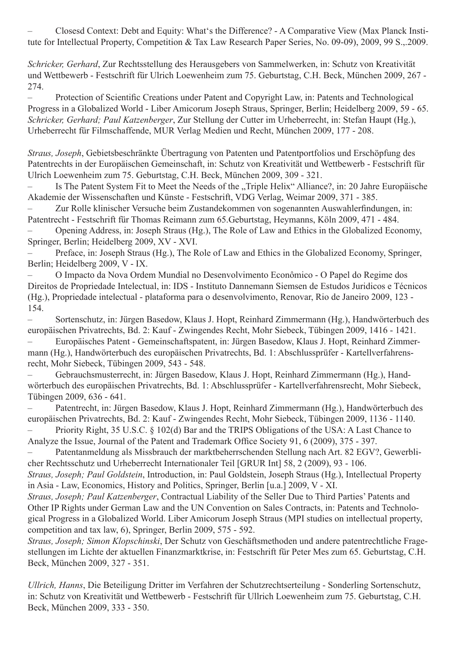Closesd Context: Debt and Equity: What's the Difference? - A Comparative View (Max Planck Institute for Intellectual Property, Competition & Tax Law Research Paper Series, No. 09-09), 2009, 99 S.,.2009.

*Schricker, Gerhard*, Zur Rechtsstellung des Herausgebers von Sammelwerken, in: Schutz von Kreativität und Wettbewerb - Festschrift für Ulrich Loewenheim zum 75. Geburtstag, C.H. Beck, München 2009, 267 - 274.

– Protection of Scientific Creations under Patent and Copyright Law, in: Patents and Technological Progress in a Globalized World - Liber Amicorum Joseph Straus, Springer, Berlin; Heidelberg 2009, 59 - 65. *Schricker, Gerhard; Paul Katzenberger*, Zur Stellung der Cutter im Urheberrecht, in: Stefan Haupt (Hg.), Urheberrecht für Filmschaffende, MUR Verlag Medien und Recht, München 2009, 177 - 208.

*Straus, Joseph*, Gebietsbeschränkte Übertragung von Patenten und Patentportfolios und Erschöpfung des Patentrechts in der Europäischen Gemeinschaft, in: Schutz von Kreativität und Wettbewerb - Festschrift für Ulrich Loewenheim zum 75. Geburtstag, C.H. Beck, München 2009, 309 - 321.

– Is The Patent System Fit to Meet the Needs of the "Triple Helix" Alliance?, in: 20 Jahre Europäische Akademie der Wissenschaften und Künste - Festschrift, VDG Verlag, Weimar 2009, 371 - 385.

Zur Rolle klinischer Versuche beim Zustandekommen von sogenannten Auswahlerfindungen, in: Patentrecht - Festschrift für Thomas Reimann zum 65.Geburtstag, Heymanns, Köln 2009, 471 - 484.

Opening Address, in: Joseph Straus (Hg.), The Role of Law and Ethics in the Globalized Economy, Springer, Berlin; Heidelberg 2009, XV - XVI.

Preface, in: Joseph Straus (Hg.), The Role of Law and Ethics in the Globalized Economy, Springer, Berlin; Heidelberg 2009, V - IX.

– O Impacto da Nova Ordem Mundial no Desenvolvimento Econômico - O Papel do Regime dos Direitos de Propriedade Intelectual, in: IDS - Instituto Dannemann Siemsen de Estudos Juridicos e Técnicos (Hg.), Propriedade intelectual - plataforma para o desenvolvimento, Renovar, Rio de Janeiro 2009, 123 - 154.

Sortenschutz, in: Jürgen Basedow, Klaus J. Hopt, Reinhard Zimmermann (Hg.), Handwörterbuch des europäischen Privatrechts, Bd. 2: Kauf - Zwingendes Recht, Mohr Siebeck, Tübingen 2009, 1416 - 1421.

Europäisches Patent - Gemeinschaftspatent, in: Jürgen Basedow, Klaus J. Hopt, Reinhard Zimmermann (Hg.), Handwörterbuch des europäischen Privatrechts, Bd. 1: Abschlussprüfer - Kartellverfahrensrecht, Mohr Siebeck, Tübingen 2009, 543 - 548.

Gebrauchsmusterrecht, in: Jürgen Basedow, Klaus J. Hopt, Reinhard Zimmermann (Hg.), Handwörterbuch des europäischen Privatrechts, Bd. 1: Abschlussprüfer - Kartellverfahrensrecht, Mohr Siebeck, Tübingen 2009, 636 - 641.

Patentrecht, in: Jürgen Basedow, Klaus J. Hopt, Reinhard Zimmermann (Hg.), Handwörterbuch des europäischen Privatrechts, Bd. 2: Kauf - Zwingendes Recht, Mohr Siebeck, Tübingen 2009, 1136 - 1140.

Priority Right, 35 U.S.C.  $\S$  102(d) Bar and the TRIPS Obligations of the USA: A Last Chance to Analyze the Issue, Journal of the Patent and Trademark Office Society 91, 6 (2009), 375 - 397.

Patentanmeldung als Missbrauch der marktbeherrschenden Stellung nach Art. 82 EGV?, Gewerblicher Rechtsschutz und Urheberrecht Internationaler Teil [GRUR Int] 58, 2 (2009), 93 - 106. *Straus, Joseph; Paul Goldstein*, Introduction, in: Paul Goldstein, Joseph Straus (Hg.), Intellectual Property

in Asia - Law, Economics, History and Politics, Springer, Berlin [u.a.] 2009, V - XI.

*Straus, Joseph; Paul Katzenberger*, Contractual Liability of the Seller Due to Third Parties' Patents and Other IP Rights under German Law and the UN Convention on Sales Contracts, in: Patents and Technological Progress in a Globalized World. Liber Amicorum Joseph Straus (MPI studies on intellectual property, competition and tax law, 6), Springer, Berlin 2009, 575 - 592.

*Straus, Joseph; Simon Klopschinski*, Der Schutz von Geschäftsmethoden und andere patentrechtliche Fragestellungen im Lichte der aktuellen Finanzmarktkrise, in: Festschrift für Peter Mes zum 65. Geburtstag, C.H. Beck, München 2009, 327 - 351.

*Ullrich, Hanns*, Die Beteiligung Dritter im Verfahren der Schutzrechtserteilung - Sonderling Sortenschutz, in: Schutz von Kreativität und Wettbewerb - Festschrift für Ullrich Loewenheim zum 75. Geburtstag, C.H. Beck, München 2009, 333 - 350.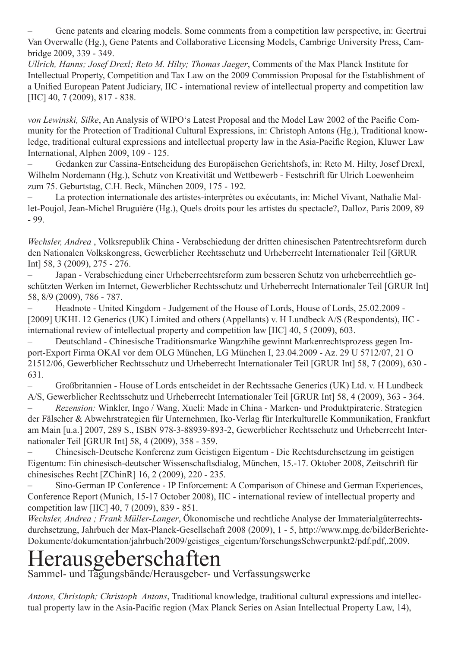Gene patents and clearing models. Some comments from a competition law perspective, in: Geertrui Van Overwalle (Hg.), Gene Patents and Collaborative Licensing Models, Cambrige University Press, Cambridge 2009, 339 - 349.

*Ullrich, Hanns; Josef Drexl; Reto M. Hilty; Thomas Jaeger*, Comments of the Max Planck Institute for Intellectual Property, Competition and Tax Law on the 2009 Commission Proposal for the Establishment of a Unified European Patent Judiciary, IIC - international review of intellectual property and competition law [IIC] 40, 7 (2009), 817 - 838.

*von Lewinski, Silke*, An Analysis of WIPO's Latest Proposal and the Model Law 2002 of the Pacific Community for the Protection of Traditional Cultural Expressions, in: Christoph Antons (Hg.), Traditional knowledge, traditional cultural expressions and intellectual property law in the Asia-Pacific Region, Kluwer Law International, Alphen 2009, 109 - 125.

Gedanken zur Cassina-Entscheidung des Europäischen Gerichtshofs, in: Reto M. Hilty, Josef Drexl, Wilhelm Nordemann (Hg.), Schutz von Kreativität und Wettbewerb - Festschrift für Ulrich Loewenheim zum 75. Geburtstag, C.H. Beck, München 2009, 175 - 192.

La protection internationale des artistes-interprètes ou exécutants, in: Michel Vivant, Nathalie Mallet-Poujol, Jean-Michel Bruguière (Hg.), Quels droits pour les artistes du spectacle?, Dalloz, Paris 2009, 89 - 99.

*Wechsler, Andrea* , Volksrepublik China - Verabschiedung der dritten chinesischen Patentrechtsreform durch den Nationalen Volkskongress, Gewerblicher Rechtsschutz und Urheberrecht Internationaler Teil [GRUR Int] 58, 3 (2009), 275 - 276.

Japan - Verabschiedung einer Urheberrechtsreform zum besseren Schutz von urheberrechtlich geschützten Werken im Internet, Gewerblicher Rechtsschutz und Urheberrecht Internationaler Teil [GRUR Int] 58, 8/9 (2009), 786 - 787.

Headnote - United Kingdom - Judgement of the House of Lords, House of Lords, 25.02.2009 -[2009] UKHL 12 Generics (UK) Limited and others (Appellants) v. H Lundbeck A/S (Respondents), IIC international review of intellectual property and competition law [IIC] 40, 5 (2009), 603.

Deutschland - Chinesische Traditionsmarke Wangzhihe gewinnt Markenrechtsprozess gegen Import-Export Firma OKAI vor dem OLG München, LG München I, 23.04.2009 - Az. 29 U 5712/07, 21 O 21512/06, Gewerblicher Rechtsschutz und Urheberrecht Internationaler Teil [GRUR Int] 58, 7 (2009), 630 - 631.

– Großbritannien - House of Lords entscheidet in der Rechtssache Generics (UK) Ltd. v. H Lundbeck A/S, Gewerblicher Rechtsschutz und Urheberrecht Internationaler Teil [GRUR Int] 58, 4 (2009), 363 - 364.

Rezension: Winkler, Ingo / Wang, Xueli: Made in China - Marken- und Produktpiraterie. Strategien der Fälscher & Abwehrstrategien für Unternehmen, Iko-Verlag für Interkulturelle Kommunikation, Frankfurt am Main [u.a.] 2007, 289 S., ISBN 978-3-88939-893-2, Gewerblicher Rechtsschutz und Urheberrecht Internationaler Teil [GRUR Int] 58, 4 (2009), 358 - 359.

Chinesisch-Deutsche Konferenz zum Geistigen Eigentum - Die Rechtsdurchsetzung im geistigen Eigentum: Ein chinesisch-deutscher Wissenschaftsdialog, München, 15.-17. Oktober 2008, Zeitschrift für chinesisches Recht [ZChinR] 16, 2 (2009), 220 - 235.

– Sino-German IP Conference - IP Enforcement: A Comparison of Chinese and German Experiences, Conference Report (Munich, 15-17 October 2008), IIC - international review of intellectual property and competition law [IIC] 40, 7 (2009), 839 - 851.

*Wechsler, Andrea ; Frank Müller-Langer*, Ökonomische und rechtliche Analyse der Immaterialgüterrechtsdurchsetzung, Jahrbuch der Max-Planck-Gesellschaft 2008 (2009), 1 - 5, http://www.mpg.de/bilderBerichte-Dokumente/dokumentation/jahrbuch/2009/geistiges\_eigentum/forschungsSchwerpunkt2/pdf.pdf,.2009.

## Herausgeberschaften

Sammel- und Tagungsbände/Herausgeber- und Verfassungswerke

*Antons, Christoph; Christoph Antons*, Traditional knowledge, traditional cultural expressions and intellectual property law in the Asia-Pacific region (Max Planck Series on Asian Intellectual Property Law, 14),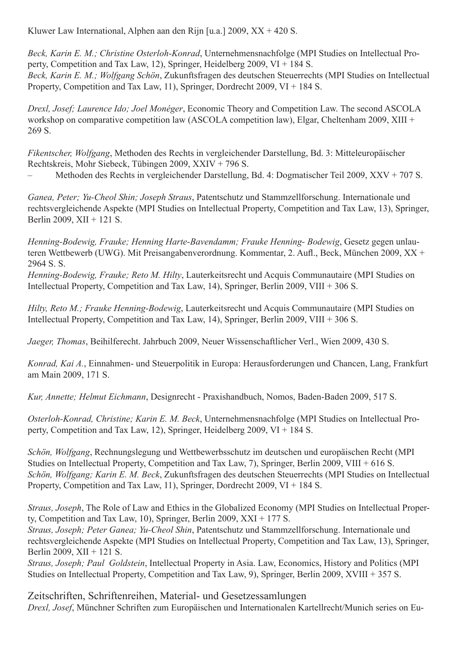Kluwer Law International, Alphen aan den Rijn [u.a.] 2009, XX + 420 S.

*Beck, Karin E. M.; Christine Osterloh-Konrad*, Unternehmensnachfolge (MPI Studies on Intellectual Property, Competition and Tax Law, 12), Springer, Heidelberg 2009, VI + 184 S. *Beck, Karin E. M.; Wolfgang Schön*, Zukunftsfragen des deutschen Steuerrechts (MPI Studies on Intellectual Property, Competition and Tax Law, 11), Springer, Dordrecht 2009, VI + 184 S.

*Drexl, Josef; Laurence Ido; Joel Monéger*, Economic Theory and Competition Law. The second ASCOLA workshop on comparative competition law (ASCOLA competition law), Elgar, Cheltenham 2009, XIII + 269 S.

*Fikentscher, Wolfgang*, Methoden des Rechts in vergleichender Darstellung, Bd. 3: Mitteleuropäischer Rechtskreis, Mohr Siebeck, Tübingen 2009, XXIV + 796 S.

– Methoden des Rechts in vergleichender Darstellung, Bd. 4: Dogmatischer Teil 2009, XXV + 707 S.

*Ganea, Peter; Yu-Cheol Shin; Joseph Straus*, Patentschutz und Stammzellforschung. Internationale und rechtsvergleichende Aspekte (MPI Studies on Intellectual Property, Competition and Tax Law, 13), Springer, Berlin 2009, XII + 121 S.

*Henning-Bodewig, Frauke; Henning Harte-Bavendamm; Frauke Henning- Bodewig*, Gesetz gegen unlauteren Wettbewerb (UWG). Mit Preisangabenverordnung. Kommentar, 2. Aufl., Beck, München 2009, XX + 2964 S. S.

*Henning-Bodewig, Frauke; Reto M. Hilty*, Lauterkeitsrecht und Acquis Communautaire (MPI Studies on Intellectual Property, Competition and Tax Law, 14), Springer, Berlin 2009, VIII + 306 S.

*Hilty, Reto M.; Frauke Henning-Bodewig*, Lauterkeitsrecht und Acquis Communautaire (MPI Studies on Intellectual Property, Competition and Tax Law, 14), Springer, Berlin 2009, VIII + 306 S.

*Jaeger, Thomas*, Beihilferecht. Jahrbuch 2009, Neuer Wissenschaftlicher Verl., Wien 2009, 430 S.

*Konrad, Kai A.*, Einnahmen- und Steuerpolitik in Europa: Herausforderungen und Chancen, Lang, Frankfurt am Main 2009, 171 S.

*Kur, Annette; Helmut Eichmann*, Designrecht - Praxishandbuch, Nomos, Baden-Baden 2009, 517 S.

*Osterloh-Konrad, Christine; Karin E. M. Beck*, Unternehmensnachfolge (MPI Studies on Intellectual Property, Competition and Tax Law, 12), Springer, Heidelberg 2009, VI + 184 S.

*Schön, Wolfgang*, Rechnungslegung und Wettbewerbsschutz im deutschen und europäischen Recht (MPI Studies on Intellectual Property, Competition and Tax Law, 7), Springer, Berlin 2009, VIII + 616 S. *Schön, Wolfgang; Karin E. M. Beck*, Zukunftsfragen des deutschen Steuerrechts (MPI Studies on Intellectual Property, Competition and Tax Law, 11), Springer, Dordrecht 2009, VI + 184 S.

*Straus, Joseph*, The Role of Law and Ethics in the Globalized Economy (MPI Studies on Intellectual Property, Competition and Tax Law, 10), Springer, Berlin 2009, XXI + 177 S.

*Straus, Joseph; Peter Ganea; Yu-Cheol Shin*, Patentschutz und Stammzellforschung. Internationale und rechtsvergleichende Aspekte (MPI Studies on Intellectual Property, Competition and Tax Law, 13), Springer, Berlin 2009, XII + 121 S.

*Straus, Joseph; Paul Goldstein*, Intellectual Property in Asia. Law, Economics, History and Politics (MPI Studies on Intellectual Property, Competition and Tax Law, 9), Springer, Berlin 2009, XVIII + 357 S.

Zeitschriften, Schriftenreihen, Material- und Gesetzessamlungen *Drexl, Josef*, Münchner Schriften zum Europäischen und Internationalen Kartellrecht/Munich series on Eu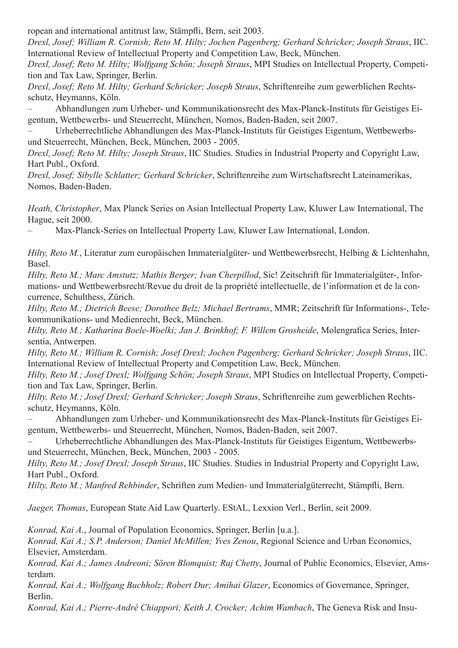ropean and international antitrust law, Stämpfli, Bern, seit 2003.

*Drexl, Josef; William R. Cornish; Reto M. Hilty; Jochen Pagenberg; Gerhard Schricker; Joseph Straus*, IIC. International Review of Intellectual Property and Competition Law, Beck, München.

*Drexl, Josef; Reto M. Hilty; Wolfgang Schön; Joseph Straus*, MPI Studies on Intellectual Property, Competition and Tax Law, Springer, Berlin.

*Drexl, Josef; Reto M. Hilty; Gerhard Schricker; Joseph Straus*, Schriftenreihe zum gewerblichen Rechtsschutz, Heymanns, Köln.

– Abhandlungen zum Urheber- und Kommunikationsrecht des Max-Planck-Instituts für Geistiges Eigentum, Wettbewerbs- und Steuerrecht, München, Nomos, Baden-Baden, seit 2007.

– Urheberrechtliche Abhandlungen des Max-Planck-Instituts für Geistiges Eigentum, Wettbewerbsund Steuerrecht, München, Beck, München, 2003 - 2005.

*Drexl, Josef; Reto M. Hilty; Joseph Straus*, IIC Studies. Studies in Industrial Property and Copyright Law, Hart Publ., Oxford.

*Drexl, Josef; Sibylle Schlatter; Gerhard Schricker*, Schriftenreihe zum Wirtschaftsrecht Lateinamerikas, Nomos, Baden-Baden.

*Heath, Christopher*, Max Planck Series on Asian Intellectual Property Law, Kluwer Law International, The Hague, seit 2000.

– Max-Planck-Series on Intellectual Property Law, Kluwer Law International, London.

*Hilty, Reto M.*, Literatur zum europäischen Immaterialgüter- und Wettbewerbsrecht, Helbing & Lichtenhahn, Basel.

*Hilty, Reto M.; Marc Amstutz; Mathis Berger; Ivan Cherpillod*, Sic! Zeitschrift für Immaterialgüter-, Informations- und Wettbewerbsrecht/Revue du droit de la propriété intellectuelle, de l'information et de la concurrence, Schulthess, Zürich.

*Hilty, Reto M.; Dietrich Beese; Dorothee Belz; Michael Bertrams*, MMR; Zeitschrift für Informations-, Telekommunikations- und Medienrecht, Beck, München.

*Hilty, Reto M.; Katharina Boele-Woelki; Jan J. Brinkhof; F. Willem Grosheide*, Molengrafica Series, Intersentia, Antwerpen.

*Hilty, Reto M.; William R. Cornish; Josef Drexl; Jochen Pagenberg; Gerhard Schricker; Joseph Straus*, IIC. International Review of Intellectual Property and Competition Law, Beck, München.

*Hilty, Reto M.; Josef Drexl; Wolfgang Schön; Joseph Straus*, MPI Studies on Intellectual Property, Competition and Tax Law, Springer, Berlin.

*Hilty, Reto M.; Josef Drexl; Gerhard Schricker; Joseph Straus*, Schriftenreihe zum gewerblichen Rechtsschutz, Heymanns, Köln.

– Abhandlungen zum Urheber- und Kommunikationsrecht des Max-Planck-Instituts für Geistiges Eigentum, Wettbewerbs- und Steuerrecht, München, Nomos, Baden-Baden, seit 2007.

– Urheberrechtliche Abhandlungen des Max-Planck-Instituts für Geistiges Eigentum, Wettbewerbsund Steuerrecht, München, Beck, München, 2003 - 2005.

*Hilty, Reto M.; Josef Drexl; Joseph Straus*, IIC Studies. Studies in Industrial Property and Copyright Law, Hart Publ., Oxford.

*Hilty, Reto M.; Manfred Rehbinder*, Schriften zum Medien- und Immaterialgüterrecht, Stämpfli, Bern.

*Jaeger, Thomas*, European State Aid Law Quarterly. EStAL, Lexxion Verl., Berlin, seit 2009.

*Konrad, Kai A.*, Journal of Population Economics, Springer, Berlin [u.a.].

*Konrad, Kai A.; S.P. Anderson; Daniel McMillen; Yves Zenou*, Regional Science and Urban Economics, Elsevier, Amsterdam.

*Konrad, Kai A.; James Andreoni; Sören Blomquist; Raj Chetty*, Journal of Public Economics, Elsevier, Amsterdam.

*Konrad, Kai A.; Wolfgang Buchholz; Robert Dur; Amihai Glazer*, Economics of Governance, Springer, Berlin.

*Konrad, Kai A.; Pierre-André Chiappori; Keith J. Crocker; Achim Wambach*, The Geneva Risk and Insu-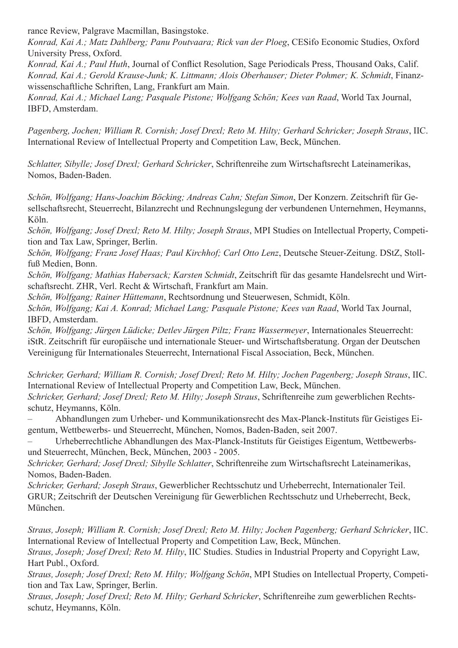rance Review, Palgrave Macmillan, Basingstoke.

*Konrad, Kai A.; Matz Dahlberg; Panu Poutvaara; Rick van der Ploeg*, CESifo Economic Studies, Oxford University Press, Oxford.

*Konrad, Kai A.; Paul Huth*, Journal of Conflict Resolution, Sage Periodicals Press, Thousand Oaks, Calif. *Konrad, Kai A.; Gerold Krause-Junk; K. Littmann; Alois Oberhauser; Dieter Pohmer; K. Schmidt*, Finanzwissenschaftliche Schriften, Lang, Frankfurt am Main.

*Konrad, Kai A.; Michael Lang; Pasquale Pistone; Wolfgang Schön; Kees van Raad*, World Tax Journal, IBFD, Amsterdam.

*Pagenberg, Jochen; William R. Cornish; Josef Drexl; Reto M. Hilty; Gerhard Schricker; Joseph Straus*, IIC. International Review of Intellectual Property and Competition Law, Beck, München.

*Schlatter, Sibylle; Josef Drexl; Gerhard Schricker*, Schriftenreihe zum Wirtschaftsrecht Lateinamerikas, Nomos, Baden-Baden.

*Schön, Wolfgang; Hans-Joachim Böcking; Andreas Cahn; Stefan Simon*, Der Konzern. Zeitschrift für Gesellschaftsrecht, Steuerrecht, Bilanzrecht und Rechnungslegung der verbundenen Unternehmen, Heymanns, Köln.

*Schön, Wolfgang; Josef Drexl; Reto M. Hilty; Joseph Straus*, MPI Studies on Intellectual Property, Competition and Tax Law, Springer, Berlin.

*Schön, Wolfgang; Franz Josef Haas; Paul Kirchhof; Carl Otto Lenz*, Deutsche Steuer-Zeitung. DStZ, Stollfuß Medien, Bonn.

*Schön, Wolfgang; Mathias Habersack; Karsten Schmidt*, Zeitschrift für das gesamte Handelsrecht und Wirtschaftsrecht. ZHR, Verl. Recht & Wirtschaft, Frankfurt am Main.

*Schön, Wolfgang; Rainer Hüttemann*, Rechtsordnung und Steuerwesen, Schmidt, Köln.

*Schön, Wolfgang; Kai A. Konrad; Michael Lang; Pasquale Pistone; Kees van Raad*, World Tax Journal, IBFD, Amsterdam.

*Schön, Wolfgang; Jürgen Lüdicke; Detlev Jürgen Piltz; Franz Wassermeyer*, Internationales Steuerrecht: iStR. Zeitschrift für europäische und internationale Steuer- und Wirtschaftsberatung. Organ der Deutschen Vereinigung für Internationales Steuerrecht, International Fiscal Association, Beck, München.

*Schricker, Gerhard; William R. Cornish; Josef Drexl; Reto M. Hilty; Jochen Pagenberg; Joseph Straus*, IIC. International Review of Intellectual Property and Competition Law, Beck, München. *Schricker, Gerhard; Josef Drexl; Reto M. Hilty; Joseph Straus*, Schriftenreihe zum gewerblichen Rechtsschutz, Heymanns, Köln.

– Abhandlungen zum Urheber- und Kommunikationsrecht des Max-Planck-Instituts für Geistiges Eigentum, Wettbewerbs- und Steuerrecht, München, Nomos, Baden-Baden, seit 2007.

Urheberrechtliche Abhandlungen des Max-Planck-Instituts für Geistiges Eigentum, Wettbewerbsund Steuerrecht, München, Beck, München, 2003 - 2005.

*Schricker, Gerhard; Josef Drexl; Sibylle Schlatter*, Schriftenreihe zum Wirtschaftsrecht Lateinamerikas, Nomos, Baden-Baden.

*Schricker, Gerhard; Joseph Straus*, Gewerblicher Rechtsschutz und Urheberrecht, Internationaler Teil. GRUR; Zeitschrift der Deutschen Vereinigung für Gewerblichen Rechtsschutz und Urheberrecht, Beck, München.

*Straus, Joseph; William R. Cornish; Josef Drexl; Reto M. Hilty; Jochen Pagenberg; Gerhard Schricker*, IIC. International Review of Intellectual Property and Competition Law, Beck, München.

*Straus, Joseph; Josef Drexl; Reto M. Hilty*, IIC Studies. Studies in Industrial Property and Copyright Law, Hart Publ., Oxford.

*Straus, Joseph; Josef Drexl; Reto M. Hilty; Wolfgang Schön*, MPI Studies on Intellectual Property, Competition and Tax Law, Springer, Berlin.

*Straus, Joseph; Josef Drexl; Reto M. Hilty; Gerhard Schricker*, Schriftenreihe zum gewerblichen Rechtsschutz, Heymanns, Köln.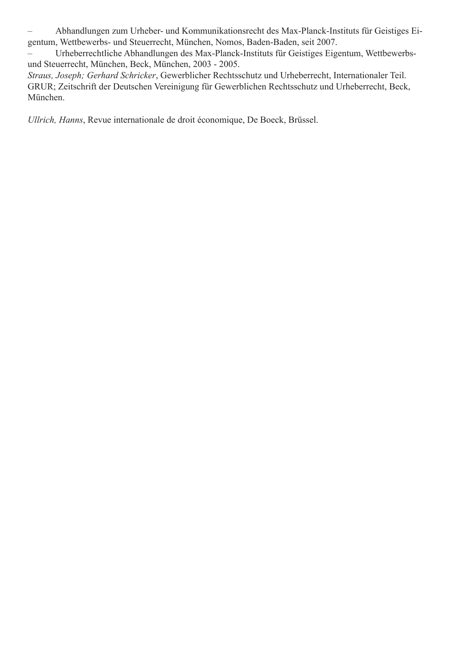– Abhandlungen zum Urheber- und Kommunikationsrecht des Max-Planck-Instituts für Geistiges Eigentum, Wettbewerbs- und Steuerrecht, München, Nomos, Baden-Baden, seit 2007.

– Urheberrechtliche Abhandlungen des Max-Planck-Instituts für Geistiges Eigentum, Wettbewerbsund Steuerrecht, München, Beck, München, 2003 - 2005.

*Straus, Joseph; Gerhard Schricker*, Gewerblicher Rechtsschutz und Urheberrecht, Internationaler Teil. GRUR; Zeitschrift der Deutschen Vereinigung für Gewerblichen Rechtsschutz und Urheberrecht, Beck, München.

*Ullrich, Hanns*, Revue internationale de droit économique, De Boeck, Brüssel.